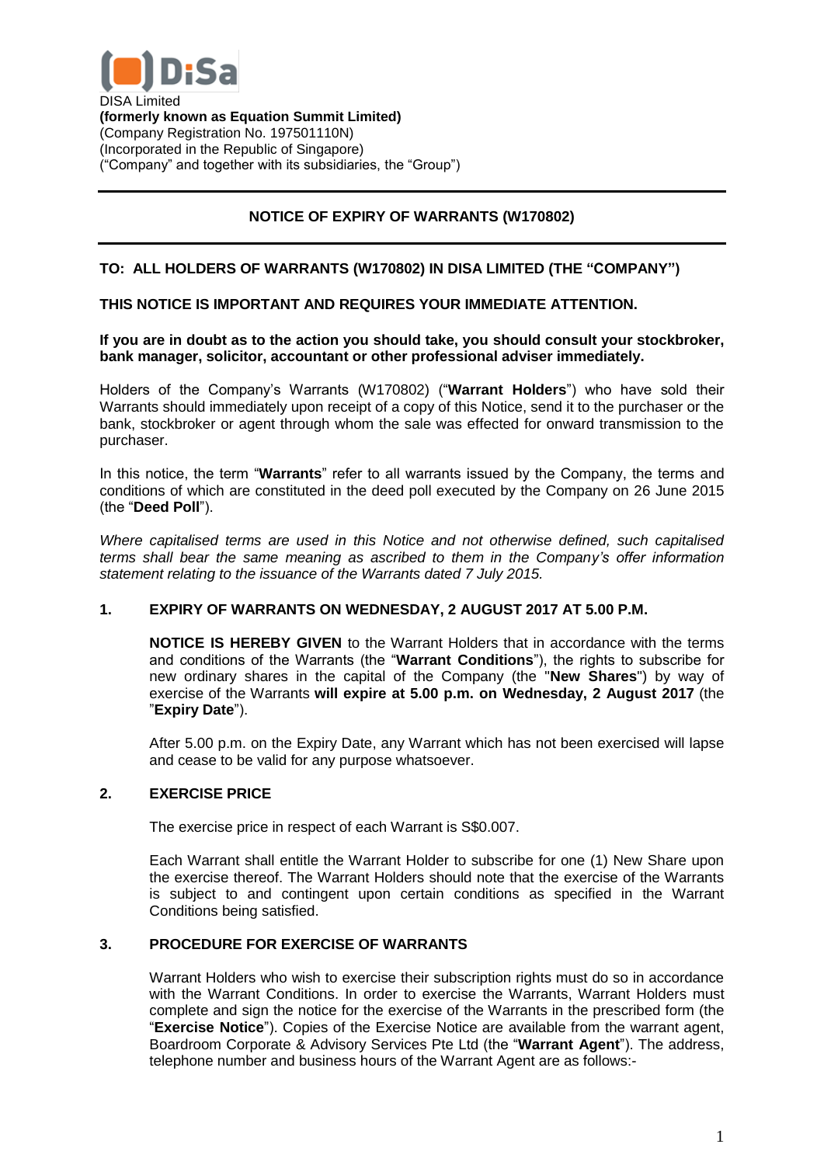

DISA Limited **(formerly known as Equation Summit Limited)** (Company Registration No. 197501110N) (Incorporated in the Republic of Singapore) ("Company" and together with its subsidiaries, the "Group")

# **NOTICE OF EXPIRY OF WARRANTS (W170802)**

## **TO: ALL HOLDERS OF WARRANTS (W170802) IN DISA LIMITED (THE "COMPANY")**

### **THIS NOTICE IS IMPORTANT AND REQUIRES YOUR IMMEDIATE ATTENTION.**

#### **If you are in doubt as to the action you should take, you should consult your stockbroker, bank manager, solicitor, accountant or other professional adviser immediately.**

Holders of the Company's Warrants (W170802) ("**Warrant Holders**") who have sold their Warrants should immediately upon receipt of a copy of this Notice, send it to the purchaser or the bank, stockbroker or agent through whom the sale was effected for onward transmission to the purchaser.

In this notice, the term "**Warrants**" refer to all warrants issued by the Company, the terms and conditions of which are constituted in the deed poll executed by the Company on 26 June 2015 (the "**Deed Poll**").

*Where capitalised terms are used in this Notice and not otherwise defined, such capitalised terms shall bear the same meaning as ascribed to them in the Company's offer information statement relating to the issuance of the Warrants dated 7 July 2015.*

#### **1. EXPIRY OF WARRANTS ON WEDNESDAY, 2 AUGUST 2017 AT 5.00 P.M.**

**NOTICE IS HEREBY GIVEN** to the Warrant Holders that in accordance with the terms and conditions of the Warrants (the "**Warrant Conditions**"), the rights to subscribe for new ordinary shares in the capital of the Company (the "**New Shares**") by way of exercise of the Warrants **will expire at 5.00 p.m. on Wednesday, 2 August 2017** (the "**Expiry Date**").

After 5.00 p.m. on the Expiry Date, any Warrant which has not been exercised will lapse and cease to be valid for any purpose whatsoever.

#### **2. EXERCISE PRICE**

The exercise price in respect of each Warrant is S\$0.007.

Each Warrant shall entitle the Warrant Holder to subscribe for one (1) New Share upon the exercise thereof. The Warrant Holders should note that the exercise of the Warrants is subject to and contingent upon certain conditions as specified in the Warrant Conditions being satisfied.

#### **3. PROCEDURE FOR EXERCISE OF WARRANTS**

Warrant Holders who wish to exercise their subscription rights must do so in accordance with the Warrant Conditions. In order to exercise the Warrants, Warrant Holders must complete and sign the notice for the exercise of the Warrants in the prescribed form (the "**Exercise Notice**"). Copies of the Exercise Notice are available from the warrant agent, Boardroom Corporate & Advisory Services Pte Ltd (the "**Warrant Agent**"). The address, telephone number and business hours of the Warrant Agent are as follows:-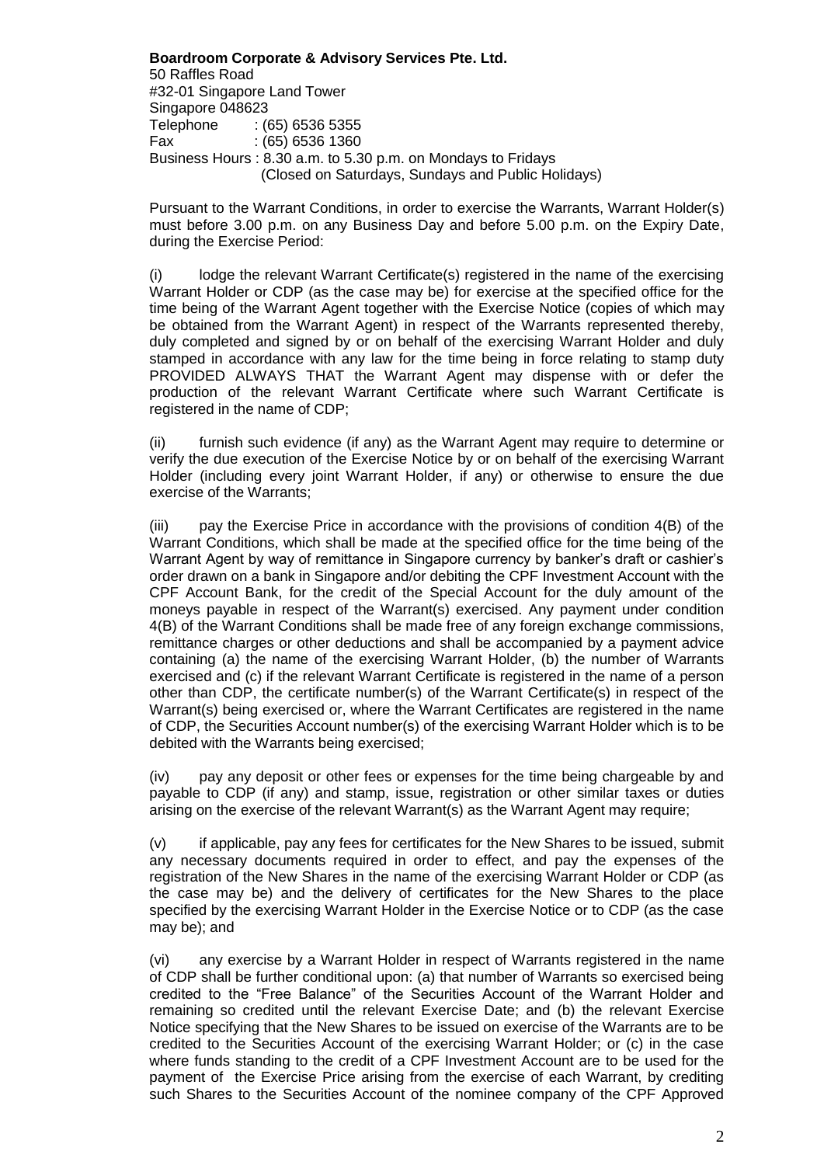**Boardroom Corporate & Advisory Services Pte. Ltd.** 50 Raffles Road #32-01 Singapore Land Tower Singapore 048623 Telephone : (65) 6536 5355 Fax : (65) 6536 1360 Business Hours : 8.30 a.m. to 5.30 p.m. on Mondays to Fridays (Closed on Saturdays, Sundays and Public Holidays)

Pursuant to the Warrant Conditions, in order to exercise the Warrants, Warrant Holder(s) must before 3.00 p.m. on any Business Day and before 5.00 p.m. on the Expiry Date, during the Exercise Period:

lodge the relevant Warrant Certificate(s) registered in the name of the exercising Warrant Holder or CDP (as the case may be) for exercise at the specified office for the time being of the Warrant Agent together with the Exercise Notice (copies of which may be obtained from the Warrant Agent) in respect of the Warrants represented thereby, duly completed and signed by or on behalf of the exercising Warrant Holder and duly stamped in accordance with any law for the time being in force relating to stamp duty PROVIDED ALWAYS THAT the Warrant Agent may dispense with or defer the production of the relevant Warrant Certificate where such Warrant Certificate is registered in the name of CDP;

(ii) furnish such evidence (if any) as the Warrant Agent may require to determine or verify the due execution of the Exercise Notice by or on behalf of the exercising Warrant Holder (including every joint Warrant Holder, if any) or otherwise to ensure the due exercise of the Warrants;

(iii) pay the Exercise Price in accordance with the provisions of condition 4(B) of the Warrant Conditions, which shall be made at the specified office for the time being of the Warrant Agent by way of remittance in Singapore currency by banker's draft or cashier's order drawn on a bank in Singapore and/or debiting the CPF Investment Account with the CPF Account Bank, for the credit of the Special Account for the duly amount of the moneys payable in respect of the Warrant(s) exercised. Any payment under condition 4(B) of the Warrant Conditions shall be made free of any foreign exchange commissions, remittance charges or other deductions and shall be accompanied by a payment advice containing (a) the name of the exercising Warrant Holder, (b) the number of Warrants exercised and (c) if the relevant Warrant Certificate is registered in the name of a person other than CDP, the certificate number(s) of the Warrant Certificate(s) in respect of the Warrant(s) being exercised or, where the Warrant Certificates are registered in the name of CDP, the Securities Account number(s) of the exercising Warrant Holder which is to be debited with the Warrants being exercised;

(iv) pay any deposit or other fees or expenses for the time being chargeable by and payable to CDP (if any) and stamp, issue, registration or other similar taxes or duties arising on the exercise of the relevant Warrant(s) as the Warrant Agent may require;

(v) if applicable, pay any fees for certificates for the New Shares to be issued, submit any necessary documents required in order to effect, and pay the expenses of the registration of the New Shares in the name of the exercising Warrant Holder or CDP (as the case may be) and the delivery of certificates for the New Shares to the place specified by the exercising Warrant Holder in the Exercise Notice or to CDP (as the case may be); and

(vi) any exercise by a Warrant Holder in respect of Warrants registered in the name of CDP shall be further conditional upon: (a) that number of Warrants so exercised being credited to the "Free Balance" of the Securities Account of the Warrant Holder and remaining so credited until the relevant Exercise Date; and (b) the relevant Exercise Notice specifying that the New Shares to be issued on exercise of the Warrants are to be credited to the Securities Account of the exercising Warrant Holder; or (c) in the case where funds standing to the credit of a CPF Investment Account are to be used for the payment of the Exercise Price arising from the exercise of each Warrant, by crediting such Shares to the Securities Account of the nominee company of the CPF Approved